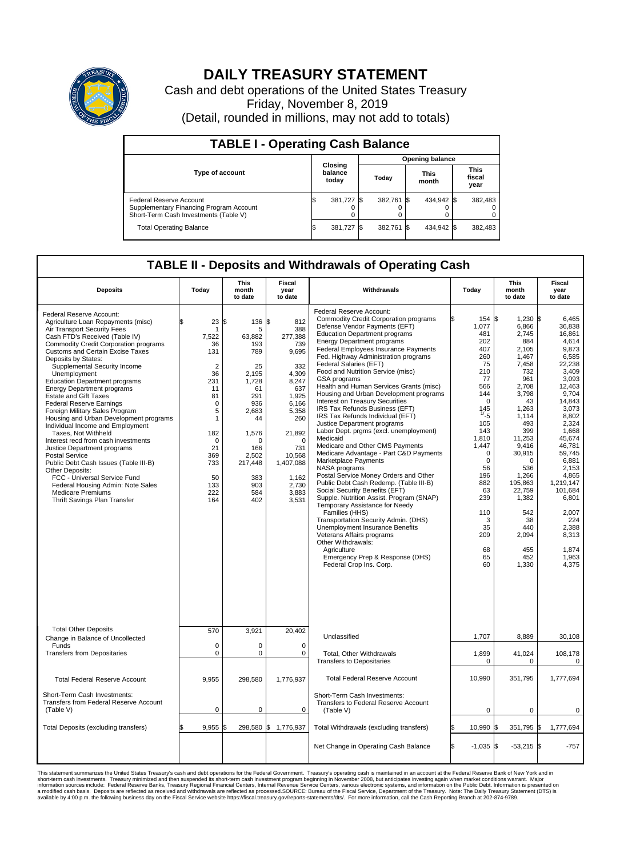

## **DAILY TREASURY STATEMENT**

Cash and debt operations of the United States Treasury Friday, November 8, 2019 (Detail, rounded in millions, may not add to totals)

| <b>TABLE I - Operating Cash Balance</b>                                                                     |  |                             |                        |            |  |                      |  |                               |  |  |
|-------------------------------------------------------------------------------------------------------------|--|-----------------------------|------------------------|------------|--|----------------------|--|-------------------------------|--|--|
|                                                                                                             |  |                             | <b>Opening balance</b> |            |  |                      |  |                               |  |  |
| <b>Type of account</b>                                                                                      |  | Closing<br>balance<br>today |                        | Today      |  | <b>This</b><br>month |  | <b>This</b><br>fiscal<br>year |  |  |
| Federal Reserve Account<br>Supplementary Financing Program Account<br>Short-Term Cash Investments (Table V) |  | 381,727                     |                        | 382.761 \$ |  | 434,942 \$           |  | 382,483                       |  |  |
| <b>Total Operating Balance</b>                                                                              |  | 381,727                     |                        | 382,761 \$ |  | 434,942 \$           |  | 382,483                       |  |  |

## **TABLE II - Deposits and Withdrawals of Operating Cash**

| <b>Deposits</b>                                                                                                                                                                                                                                                                                                                                                                                                                                                                                                                                                                                                                                                                                                                                                                                                                                                               | Today                                                                                                                                                              | This<br>month<br>to date                                                                                                                                               | <b>Fiscal</b><br>year<br>to date                                                                                                                                                                      | Withdrawals                                                                                                                                                                                                                                                                                                                                                                                                                                                                                                                                                                                                                                                                                                                                                                                                                                                                                                                                                                                                                                                                                                                                                                                    | Today                                                                                                                                                                                                                                               | <b>This</b><br>month<br>to date                                                                                                                                                                                                                                          | <b>Fiscal</b><br>year<br>to date                                                                                                                                                                                                                                                                         |
|-------------------------------------------------------------------------------------------------------------------------------------------------------------------------------------------------------------------------------------------------------------------------------------------------------------------------------------------------------------------------------------------------------------------------------------------------------------------------------------------------------------------------------------------------------------------------------------------------------------------------------------------------------------------------------------------------------------------------------------------------------------------------------------------------------------------------------------------------------------------------------|--------------------------------------------------------------------------------------------------------------------------------------------------------------------|------------------------------------------------------------------------------------------------------------------------------------------------------------------------|-------------------------------------------------------------------------------------------------------------------------------------------------------------------------------------------------------|------------------------------------------------------------------------------------------------------------------------------------------------------------------------------------------------------------------------------------------------------------------------------------------------------------------------------------------------------------------------------------------------------------------------------------------------------------------------------------------------------------------------------------------------------------------------------------------------------------------------------------------------------------------------------------------------------------------------------------------------------------------------------------------------------------------------------------------------------------------------------------------------------------------------------------------------------------------------------------------------------------------------------------------------------------------------------------------------------------------------------------------------------------------------------------------------|-----------------------------------------------------------------------------------------------------------------------------------------------------------------------------------------------------------------------------------------------------|--------------------------------------------------------------------------------------------------------------------------------------------------------------------------------------------------------------------------------------------------------------------------|----------------------------------------------------------------------------------------------------------------------------------------------------------------------------------------------------------------------------------------------------------------------------------------------------------|
| Federal Reserve Account:<br>Agriculture Loan Repayments (misc)<br>Air Transport Security Fees<br>Cash FTD's Received (Table IV)<br>Commodity Credit Corporation programs<br><b>Customs and Certain Excise Taxes</b><br>Deposits by States:<br>Supplemental Security Income<br>Unemployment<br><b>Education Department programs</b><br><b>Energy Department programs</b><br><b>Estate and Gift Taxes</b><br><b>Federal Reserve Earnings</b><br>Foreign Military Sales Program<br>Housing and Urban Development programs<br>Individual Income and Employment<br>Taxes. Not Withheld<br>Interest recd from cash investments<br>Justice Department programs<br><b>Postal Service</b><br>Public Debt Cash Issues (Table III-B)<br>Other Deposits:<br>FCC - Universal Service Fund<br>Federal Housing Admin: Note Sales<br><b>Medicare Premiums</b><br>Thrift Savings Plan Transfer | 23<br>\$<br>1<br>7,522<br>36<br>131<br>$\overline{2}$<br>36<br>231<br>11<br>81<br>$\mathbf 0$<br>5<br>1<br>182<br>0<br>21<br>369<br>733<br>50<br>133<br>222<br>164 | \$<br>136<br>5<br>63,882<br>193<br>789<br>25<br>2,195<br>1.728<br>61<br>291<br>936<br>2,683<br>44<br>1,576<br>n<br>166<br>2,502<br>217,448<br>383<br>903<br>584<br>402 | Ŝ.<br>812<br>388<br>277,388<br>739<br>9,695<br>332<br>4,309<br>8.247<br>637<br>1,925<br>6,166<br>5,358<br>260<br>21,892<br>$\Omega$<br>731<br>10,568<br>1,407,088<br>1,162<br>2,730<br>3,883<br>3,531 | Federal Reserve Account:<br><b>Commodity Credit Corporation programs</b><br>Defense Vendor Payments (EFT)<br><b>Education Department programs</b><br><b>Energy Department programs</b><br>Federal Employees Insurance Payments<br>Fed. Highway Administration programs<br>Federal Salaries (EFT)<br>Food and Nutrition Service (misc)<br>GSA programs<br>Health and Human Services Grants (misc)<br>Housing and Urban Development programs<br>Interest on Treasury Securities<br>IRS Tax Refunds Business (EFT)<br>IRS Tax Refunds Individual (EFT)<br>Justice Department programs<br>Labor Dept. prgms (excl. unemployment)<br>Medicaid<br>Medicare and Other CMS Payments<br>Medicare Advantage - Part C&D Payments<br>Marketplace Payments<br>NASA programs<br>Postal Service Money Orders and Other<br>Public Debt Cash Redemp. (Table III-B)<br>Social Security Benefits (EFT)<br>Supple. Nutrition Assist. Program (SNAP)<br>Temporary Assistance for Needy<br>Families (HHS)<br>Transportation Security Admin. (DHS)<br>Unemployment Insurance Benefits<br>Veterans Affairs programs<br>Other Withdrawals:<br>Agriculture<br>Emergency Prep & Response (DHS)<br>Federal Crop Ins. Corp. | 154 \$<br>1,077<br>481<br>202<br>407<br>260<br>75<br>210<br>77<br>566<br>144<br>$\mathbf 0$<br>145<br>1/5<br>105<br>143<br>1,810<br>1,447<br>$\mathbf 0$<br>$\mathbf 0$<br>56<br>196<br>882<br>63<br>239<br>110<br>3<br>35<br>209<br>68<br>65<br>60 | $1,230$ \$<br>6,866<br>2.745<br>884<br>2.105<br>1,467<br>7,458<br>732<br>961<br>2,708<br>3,798<br>43<br>1,263<br>1.114<br>493<br>399<br>11,253<br>9,416<br>30,915<br>0<br>536<br>1,266<br>195,863<br>22,759<br>1,382<br>542<br>38<br>440<br>2,094<br>455<br>452<br>1,330 | 6.465<br>36,838<br>16.861<br>4,614<br>9,873<br>6,585<br>22,238<br>3,409<br>3,093<br>12.463<br>9,704<br>14,843<br>3,073<br>8.802<br>2,324<br>1,668<br>45.674<br>46,781<br>59,745<br>6,881<br>2.153<br>4,865<br>1,219,147<br>101,684<br>6,801<br>2,007<br>224<br>2.388<br>8,313<br>1,874<br>1.963<br>4,375 |
| <b>Total Other Deposits</b><br>Change in Balance of Uncollected                                                                                                                                                                                                                                                                                                                                                                                                                                                                                                                                                                                                                                                                                                                                                                                                               | 570                                                                                                                                                                | 3,921                                                                                                                                                                  | 20,402                                                                                                                                                                                                | Unclassified                                                                                                                                                                                                                                                                                                                                                                                                                                                                                                                                                                                                                                                                                                                                                                                                                                                                                                                                                                                                                                                                                                                                                                                   | 1,707                                                                                                                                                                                                                                               | 8,889                                                                                                                                                                                                                                                                    | 30,108                                                                                                                                                                                                                                                                                                   |
| Funds<br><b>Transfers from Depositaries</b>                                                                                                                                                                                                                                                                                                                                                                                                                                                                                                                                                                                                                                                                                                                                                                                                                                   | $\mathbf 0$<br>$\pmb{0}$                                                                                                                                           | $\Omega$<br>0                                                                                                                                                          | $\Omega$<br>$\mathbf 0$                                                                                                                                                                               | Total, Other Withdrawals                                                                                                                                                                                                                                                                                                                                                                                                                                                                                                                                                                                                                                                                                                                                                                                                                                                                                                                                                                                                                                                                                                                                                                       | 1,899<br>$\mathbf 0$                                                                                                                                                                                                                                | 41,024<br>$\Omega$                                                                                                                                                                                                                                                       | 108,178                                                                                                                                                                                                                                                                                                  |
| <b>Total Federal Reserve Account</b>                                                                                                                                                                                                                                                                                                                                                                                                                                                                                                                                                                                                                                                                                                                                                                                                                                          | 9,955                                                                                                                                                              | 298,580                                                                                                                                                                | 1,776,937                                                                                                                                                                                             | <b>Transfers to Depositaries</b><br><b>Total Federal Reserve Account</b>                                                                                                                                                                                                                                                                                                                                                                                                                                                                                                                                                                                                                                                                                                                                                                                                                                                                                                                                                                                                                                                                                                                       | 10,990                                                                                                                                                                                                                                              | 351,795                                                                                                                                                                                                                                                                  | $\mathbf 0$<br>1,777,694                                                                                                                                                                                                                                                                                 |
| Short-Term Cash Investments:<br>Transfers from Federal Reserve Account<br>(Table V)                                                                                                                                                                                                                                                                                                                                                                                                                                                                                                                                                                                                                                                                                                                                                                                           | $\mathbf 0$                                                                                                                                                        | 0                                                                                                                                                                      | $\mathbf 0$                                                                                                                                                                                           | Short-Term Cash Investments:<br>Transfers to Federal Reserve Account<br>(Table V)                                                                                                                                                                                                                                                                                                                                                                                                                                                                                                                                                                                                                                                                                                                                                                                                                                                                                                                                                                                                                                                                                                              | $\mathbf 0$                                                                                                                                                                                                                                         | $\mathbf 0$                                                                                                                                                                                                                                                              | $\mathbf 0$                                                                                                                                                                                                                                                                                              |
| Total Deposits (excluding transfers)                                                                                                                                                                                                                                                                                                                                                                                                                                                                                                                                                                                                                                                                                                                                                                                                                                          | 9.955                                                                                                                                                              | \$                                                                                                                                                                     | 298,580 \$ 1,776,937                                                                                                                                                                                  | Total Withdrawals (excluding transfers)                                                                                                                                                                                                                                                                                                                                                                                                                                                                                                                                                                                                                                                                                                                                                                                                                                                                                                                                                                                                                                                                                                                                                        | 10,990 \$                                                                                                                                                                                                                                           | 351,795 \$                                                                                                                                                                                                                                                               | 1,777,694                                                                                                                                                                                                                                                                                                |
|                                                                                                                                                                                                                                                                                                                                                                                                                                                                                                                                                                                                                                                                                                                                                                                                                                                                               |                                                                                                                                                                    |                                                                                                                                                                        |                                                                                                                                                                                                       | Net Change in Operating Cash Balance                                                                                                                                                                                                                                                                                                                                                                                                                                                                                                                                                                                                                                                                                                                                                                                                                                                                                                                                                                                                                                                                                                                                                           | \$.<br>$-1,035$ \$                                                                                                                                                                                                                                  | $-53,215$ \$                                                                                                                                                                                                                                                             | $-757$                                                                                                                                                                                                                                                                                                   |

This statement summarizes the United States Treasury's cash and debt operations for the Federal Government. Treasury operating in November 2008, but anticing ats investment summarket conditions warrant. Major short-term ca